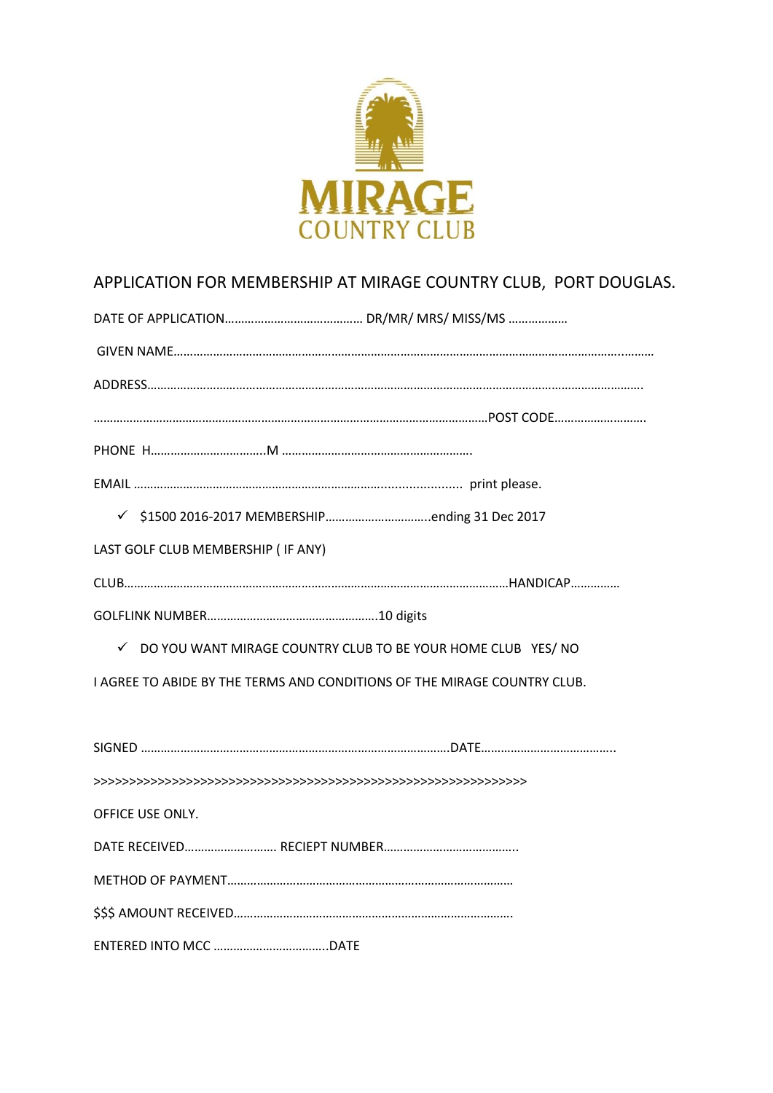

# APPLICATION FOR MEMBERSHIP AT MIRAGE COUNTRY CLUB, PORT DOUGLAS.

| LAST GOLF CLUB MEMBERSHIP ( IF ANY)                                      |
|--------------------------------------------------------------------------|
|                                                                          |
|                                                                          |
| √ DO YOU WANT MIRAGE COUNTRY CLUB TO BE YOUR HOME CLUB YES/ NO           |
| I AGREE TO ABIDE BY THE TERMS AND CONDITIONS OF THE MIRAGE COUNTRY CLUB. |
|                                                                          |
|                                                                          |
|                                                                          |
| OFFICE USE ONLY.                                                         |
|                                                                          |
|                                                                          |
|                                                                          |
|                                                                          |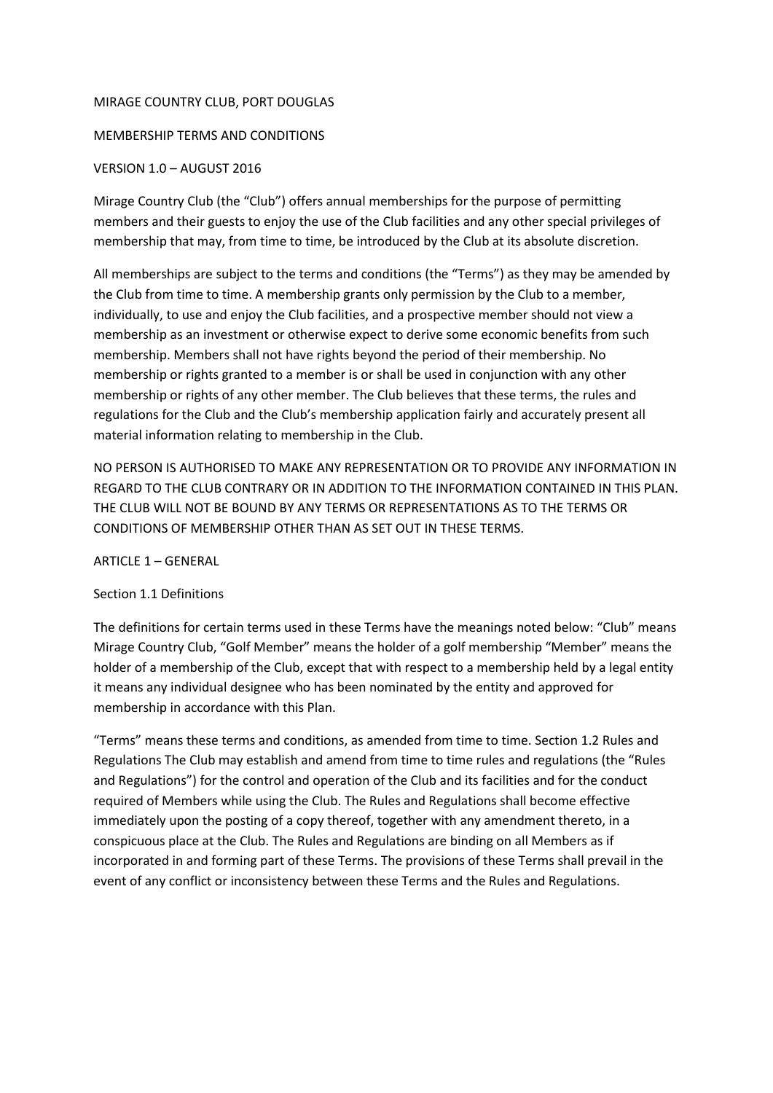#### MIRAGE COUNTRY CLUB, PORT DOUGLAS

# MEMBERSHIP TERMS AND CONDITIONS

# VERSION 1.0 – AUGUST 2016

Mirage Country Club (the "Club") offers annual memberships for the purpose of permitting members and their guests to enjoy the use of the Club facilities and any other special privileges of membership that may, from time to time, be introduced by the Club at its absolute discretion.

All memberships are subject to the terms and conditions (the "Terms") as they may be amended by the Club from time to time. A membership grants only permission by the Club to a member, individually, to use and enjoy the Club facilities, and a prospective member should not view a membership as an investment or otherwise expect to derive some economic benefits from such membership. Members shall not have rights beyond the period of their membership. No membership or rights granted to a member is or shall be used in conjunction with any other membership or rights of any other member. The Club believes that these terms, the rules and regulations for the Club and the Club's membership application fairly and accurately present all material information relating to membership in the Club.

NO PERSON IS AUTHORISED TO MAKE ANY REPRESENTATION OR TO PROVIDE ANY INFORMATION IN REGARD TO THE CLUB CONTRARY OR IN ADDITION TO THE INFORMATION CONTAINED IN THIS PLAN. THE CLUB WILL NOT BE BOUND BY ANY TERMS OR REPRESENTATIONS AS TO THE TERMS OR CONDITIONS OF MEMBERSHIP OTHER THAN AS SET OUT IN THESE TERMS.

ARTICLE 1 – GENERAL

# Section 1.1 Definitions

The definitions for certain terms used in these Terms have the meanings noted below: "Club" means Mirage Country Club, "Golf Member" means the holder of a golf membership "Member" means the holder of a membership of the Club, except that with respect to a membership held by a legal entity it means any individual designee who has been nominated by the entity and approved for membership in accordance with this Plan.

"Terms" means these terms and conditions, as amended from time to time. Section 1.2 Rules and Regulations The Club may establish and amend from time to time rules and regulations (the "Rules and Regulations") for the control and operation of the Club and its facilities and for the conduct required of Members while using the Club. The Rules and Regulations shall become effective immediately upon the posting of a copy thereof, together with any amendment thereto, in a conspicuous place at the Club. The Rules and Regulations are binding on all Members as if incorporated in and forming part of these Terms. The provisions of these Terms shall prevail in the event of any conflict or inconsistency between these Terms and the Rules and Regulations.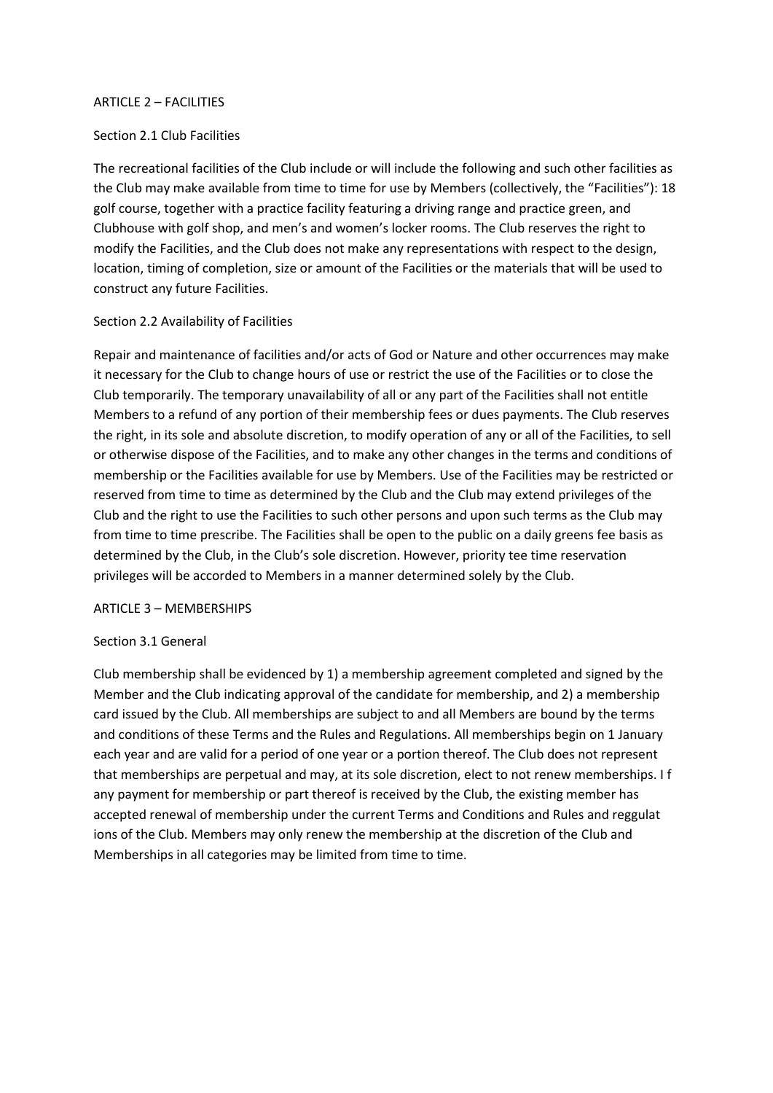#### ARTICLE 2 – FACILITIES

#### Section 2.1 Club Facilities

The recreational facilities of the Club include or will include the following and such other facilities as the Club may make available from time to time for use by Members (collectively, the "Facilities"): 18 golf course, together with a practice facility featuring a driving range and practice green, and Clubhouse with golf shop, and men's and women's locker rooms. The Club reserves the right to modify the Facilities, and the Club does not make any representations with respect to the design, location, timing of completion, size or amount of the Facilities or the materials that will be used to construct any future Facilities.

#### Section 2.2 Availability of Facilities

Repair and maintenance of facilities and/or acts of God or Nature and other occurrences may make it necessary for the Club to change hours of use or restrict the use of the Facilities or to close the Club temporarily. The temporary unavailability of all or any part of the Facilities shall not entitle Members to a refund of any portion of their membership fees or dues payments. The Club reserves the right, in its sole and absolute discretion, to modify operation of any or all of the Facilities, to sell or otherwise dispose of the Facilities, and to make any other changes in the terms and conditions of membership or the Facilities available for use by Members. Use of the Facilities may be restricted or reserved from time to time as determined by the Club and the Club may extend privileges of the Club and the right to use the Facilities to such other persons and upon such terms as the Club may from time to time prescribe. The Facilities shall be open to the public on a daily greens fee basis as determined by the Club, in the Club's sole discretion. However, priority tee time reservation privileges will be accorded to Members in a manner determined solely by the Club.

# ARTICLE 3 – MEMBERSHIPS

# Section 3.1 General

Club membership shall be evidenced by 1) a membership agreement completed and signed by the Member and the Club indicating approval of the candidate for membership, and 2) a membership card issued by the Club. All memberships are subject to and all Members are bound by the terms and conditions of these Terms and the Rules and Regulations. All memberships begin on 1 January each year and are valid for a period of one year or a portion thereof. The Club does not represent that memberships are perpetual and may, at its sole discretion, elect to not renew memberships. I f any payment for membership or part thereof is received by the Club, the existing member has accepted renewal of membership under the current Terms and Conditions and Rules and reggulat ions of the Club. Members may only renew the membership at the discretion of the Club and Memberships in all categories may be limited from time to time.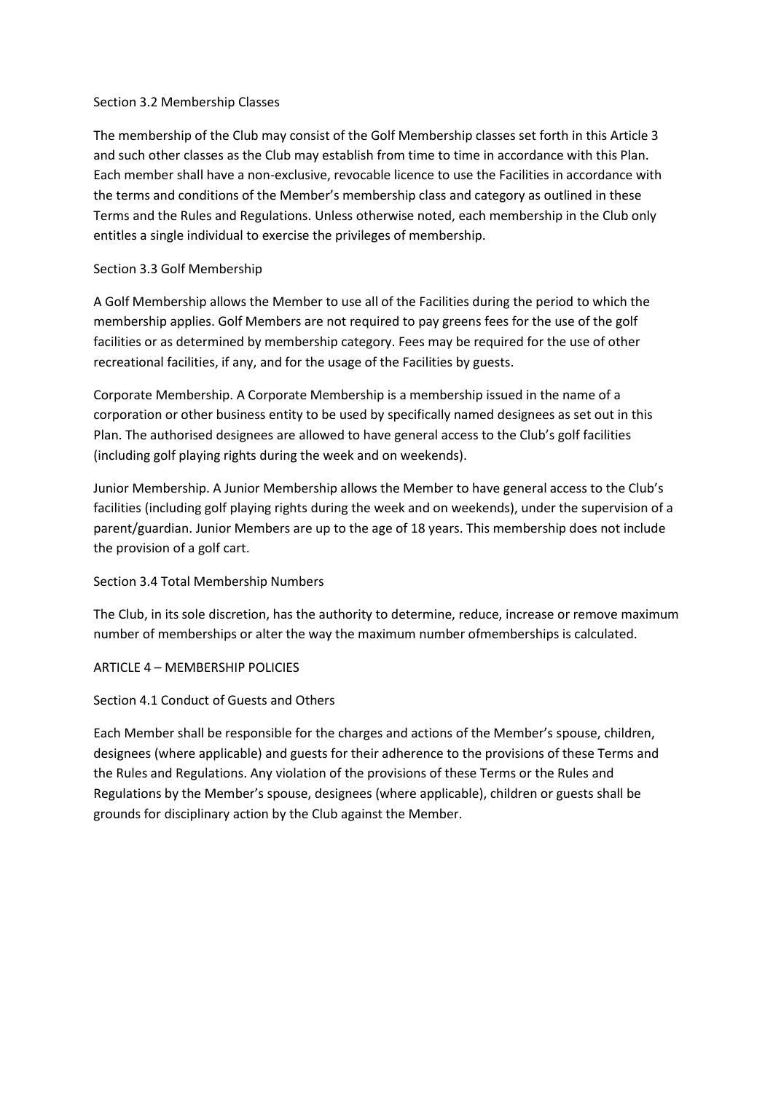# Section 3.2 Membership Classes

The membership of the Club may consist of the Golf Membership classes set forth in this Article 3 and such other classes as the Club may establish from time to time in accordance with this Plan. Each member shall have a non-exclusive, revocable licence to use the Facilities in accordance with the terms and conditions of the Member's membership class and category as outlined in these Terms and the Rules and Regulations. Unless otherwise noted, each membership in the Club only entitles a single individual to exercise the privileges of membership.

# Section 3.3 Golf Membership

A Golf Membership allows the Member to use all of the Facilities during the period to which the membership applies. Golf Members are not required to pay greens fees for the use of the golf facilities or as determined by membership category. Fees may be required for the use of other recreational facilities, if any, and for the usage of the Facilities by guests.

Corporate Membership. A Corporate Membership is a membership issued in the name of a corporation or other business entity to be used by specifically named designees as set out in this Plan. The authorised designees are allowed to have general access to the Club's golf facilities (including golf playing rights during the week and on weekends).

Junior Membership. A Junior Membership allows the Member to have general access to the Club's facilities (including golf playing rights during the week and on weekends), under the supervision of a parent/guardian. Junior Members are up to the age of 18 years. This membership does not include the provision of a golf cart.

# Section 3.4 Total Membership Numbers

The Club, in its sole discretion, has the authority to determine, reduce, increase or remove maximum number of memberships or alter the way the maximum number ofmemberships is calculated.

# ARTICLE 4 – MEMBERSHIP POLICIES

# Section 4.1 Conduct of Guests and Others

Each Member shall be responsible for the charges and actions of the Member's spouse, children, designees (where applicable) and guests for their adherence to the provisions of these Terms and the Rules and Regulations. Any violation of the provisions of these Terms or the Rules and Regulations by the Member's spouse, designees (where applicable), children or guests shall be grounds for disciplinary action by the Club against the Member.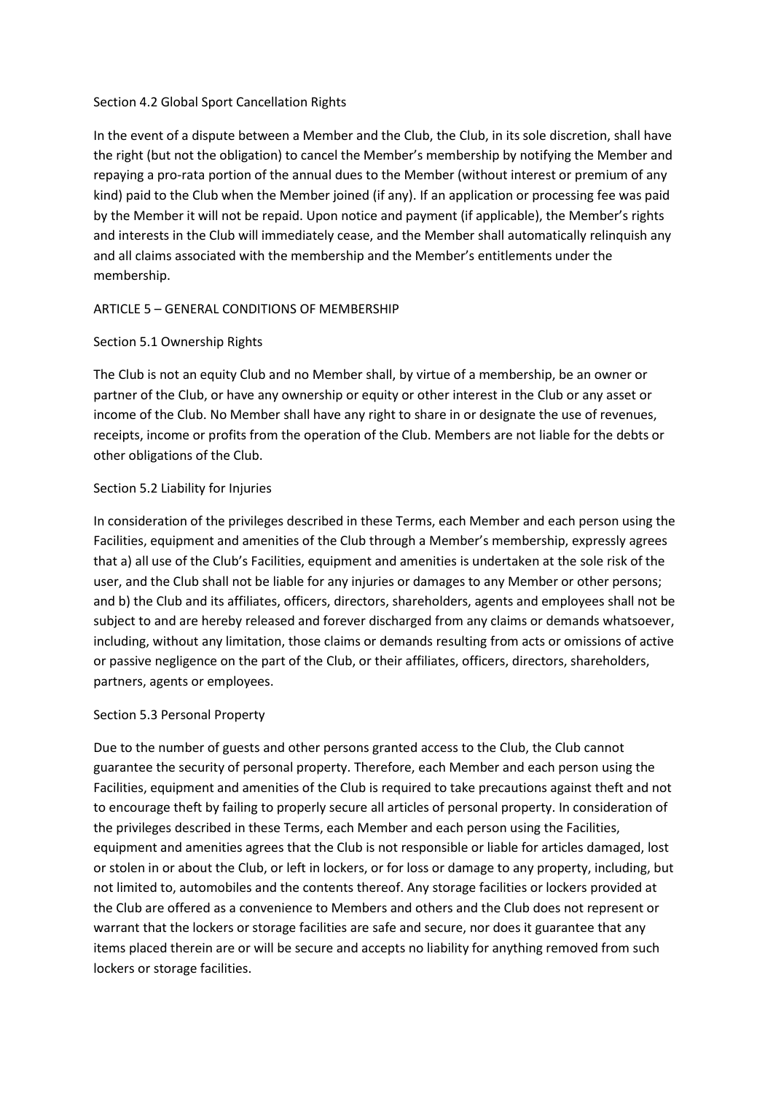# Section 4.2 Global Sport Cancellation Rights

In the event of a dispute between a Member and the Club, the Club, in its sole discretion, shall have the right (but not the obligation) to cancel the Member's membership by notifying the Member and repaying a pro-rata portion of the annual dues to the Member (without interest or premium of any kind) paid to the Club when the Member joined (if any). If an application or processing fee was paid by the Member it will not be repaid. Upon notice and payment (if applicable), the Member's rights and interests in the Club will immediately cease, and the Member shall automatically relinquish any and all claims associated with the membership and the Member's entitlements under the membership.

# ARTICLE 5 – GENERAL CONDITIONS OF MEMBERSHIP

# Section 5.1 Ownership Rights

The Club is not an equity Club and no Member shall, by virtue of a membership, be an owner or partner of the Club, or have any ownership or equity or other interest in the Club or any asset or income of the Club. No Member shall have any right to share in or designate the use of revenues, receipts, income or profits from the operation of the Club. Members are not liable for the debts or other obligations of the Club.

# Section 5.2 Liability for Injuries

In consideration of the privileges described in these Terms, each Member and each person using the Facilities, equipment and amenities of the Club through a Member's membership, expressly agrees that a) all use of the Club's Facilities, equipment and amenities is undertaken at the sole risk of the user, and the Club shall not be liable for any injuries or damages to any Member or other persons; and b) the Club and its affiliates, officers, directors, shareholders, agents and employees shall not be subject to and are hereby released and forever discharged from any claims or demands whatsoever, including, without any limitation, those claims or demands resulting from acts or omissions of active or passive negligence on the part of the Club, or their affiliates, officers, directors, shareholders, partners, agents or employees.

# Section 5.3 Personal Property

Due to the number of guests and other persons granted access to the Club, the Club cannot guarantee the security of personal property. Therefore, each Member and each person using the Facilities, equipment and amenities of the Club is required to take precautions against theft and not to encourage theft by failing to properly secure all articles of personal property. In consideration of the privileges described in these Terms, each Member and each person using the Facilities, equipment and amenities agrees that the Club is not responsible or liable for articles damaged, lost or stolen in or about the Club, or left in lockers, or for loss or damage to any property, including, but not limited to, automobiles and the contents thereof. Any storage facilities or lockers provided at the Club are offered as a convenience to Members and others and the Club does not represent or warrant that the lockers or storage facilities are safe and secure, nor does it guarantee that any items placed therein are or will be secure and accepts no liability for anything removed from such lockers or storage facilities.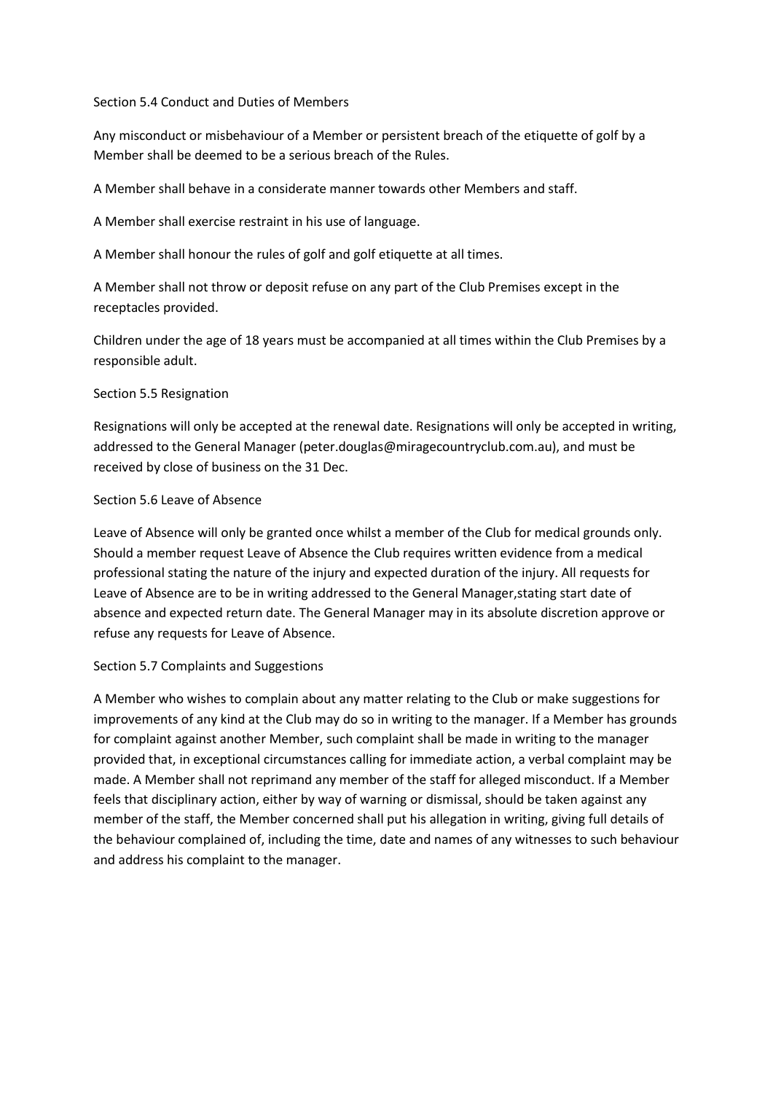#### Section 5.4 Conduct and Duties of Members

Any misconduct or misbehaviour of a Member or persistent breach of the etiquette of golf by a Member shall be deemed to be a serious breach of the Rules.

A Member shall behave in a considerate manner towards other Members and staff.

A Member shall exercise restraint in his use of language.

A Member shall honour the rules of golf and golf etiquette at all times.

A Member shall not throw or deposit refuse on any part of the Club Premises except in the receptacles provided.

Children under the age of 18 years must be accompanied at all times within the Club Premises by a responsible adult.

# Section 5.5 Resignation

Resignations will only be accepted at the renewal date. Resignations will only be accepted in writing, addressed to the General Manager (peter.douglas@miragecountryclub.com.au), and must be received by close of business on the 31 Dec.

# Section 5.6 Leave of Absence

Leave of Absence will only be granted once whilst a member of the Club for medical grounds only. Should a member request Leave of Absence the Club requires written evidence from a medical professional stating the nature of the injury and expected duration of the injury. All requests for Leave of Absence are to be in writing addressed to the General Manager,stating start date of absence and expected return date. The General Manager may in its absolute discretion approve or refuse any requests for Leave of Absence.

# Section 5.7 Complaints and Suggestions

A Member who wishes to complain about any matter relating to the Club or make suggestions for improvements of any kind at the Club may do so in writing to the manager. If a Member has grounds for complaint against another Member, such complaint shall be made in writing to the manager provided that, in exceptional circumstances calling for immediate action, a verbal complaint may be made. A Member shall not reprimand any member of the staff for alleged misconduct. If a Member feels that disciplinary action, either by way of warning or dismissal, should be taken against any member of the staff, the Member concerned shall put his allegation in writing, giving full details of the behaviour complained of, including the time, date and names of any witnesses to such behaviour and address his complaint to the manager.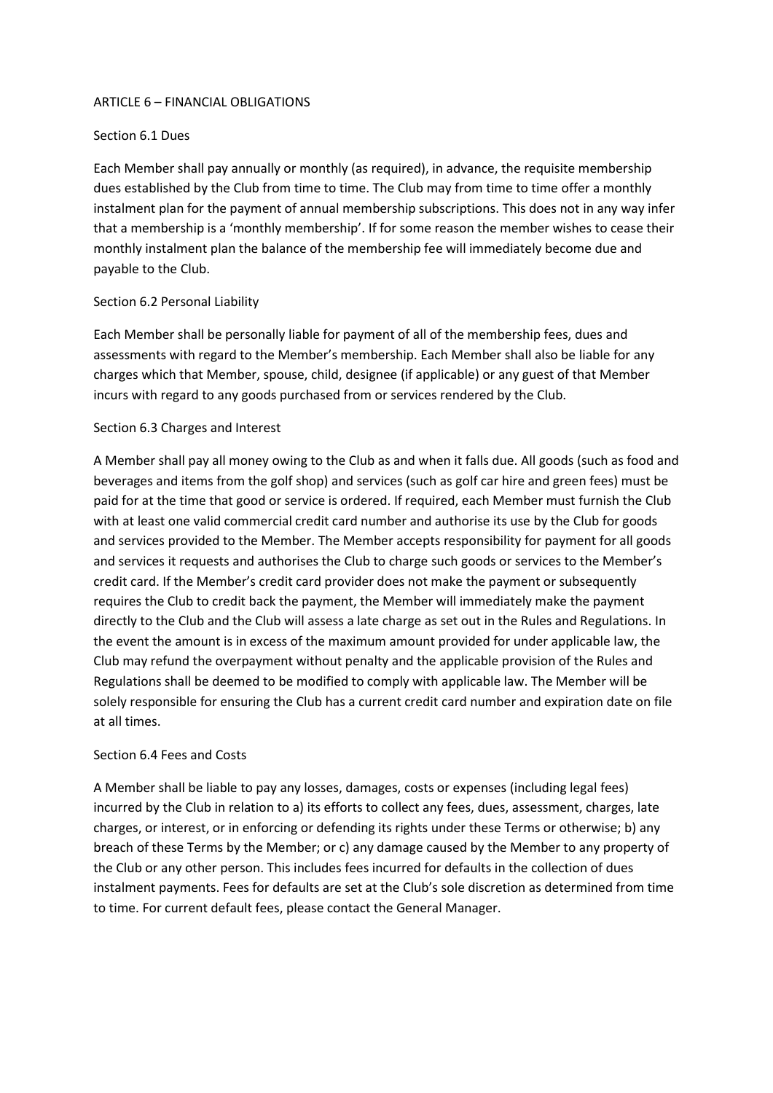#### ARTICLE 6 – FINANCIAL OBLIGATIONS

## Section 6.1 Dues

Each Member shall pay annually or monthly (as required), in advance, the requisite membership dues established by the Club from time to time. The Club may from time to time offer a monthly instalment plan for the payment of annual membership subscriptions. This does not in any way infer that a membership is a 'monthly membership'. If for some reason the member wishes to cease their monthly instalment plan the balance of the membership fee will immediately become due and payable to the Club.

#### Section 6.2 Personal Liability

Each Member shall be personally liable for payment of all of the membership fees, dues and assessments with regard to the Member's membership. Each Member shall also be liable for any charges which that Member, spouse, child, designee (if applicable) or any guest of that Member incurs with regard to any goods purchased from or services rendered by the Club.

#### Section 6.3 Charges and Interest

A Member shall pay all money owing to the Club as and when it falls due. All goods (such as food and beverages and items from the golf shop) and services (such as golf car hire and green fees) must be paid for at the time that good or service is ordered. If required, each Member must furnish the Club with at least one valid commercial credit card number and authorise its use by the Club for goods and services provided to the Member. The Member accepts responsibility for payment for all goods and services it requests and authorises the Club to charge such goods or services to the Member's credit card. If the Member's credit card provider does not make the payment or subsequently requires the Club to credit back the payment, the Member will immediately make the payment directly to the Club and the Club will assess a late charge as set out in the Rules and Regulations. In the event the amount is in excess of the maximum amount provided for under applicable law, the Club may refund the overpayment without penalty and the applicable provision of the Rules and Regulations shall be deemed to be modified to comply with applicable law. The Member will be solely responsible for ensuring the Club has a current credit card number and expiration date on file at all times.

#### Section 6.4 Fees and Costs

A Member shall be liable to pay any losses, damages, costs or expenses (including legal fees) incurred by the Club in relation to a) its efforts to collect any fees, dues, assessment, charges, late charges, or interest, or in enforcing or defending its rights under these Terms or otherwise; b) any breach of these Terms by the Member; or c) any damage caused by the Member to any property of the Club or any other person. This includes fees incurred for defaults in the collection of dues instalment payments. Fees for defaults are set at the Club's sole discretion as determined from time to time. For current default fees, please contact the General Manager.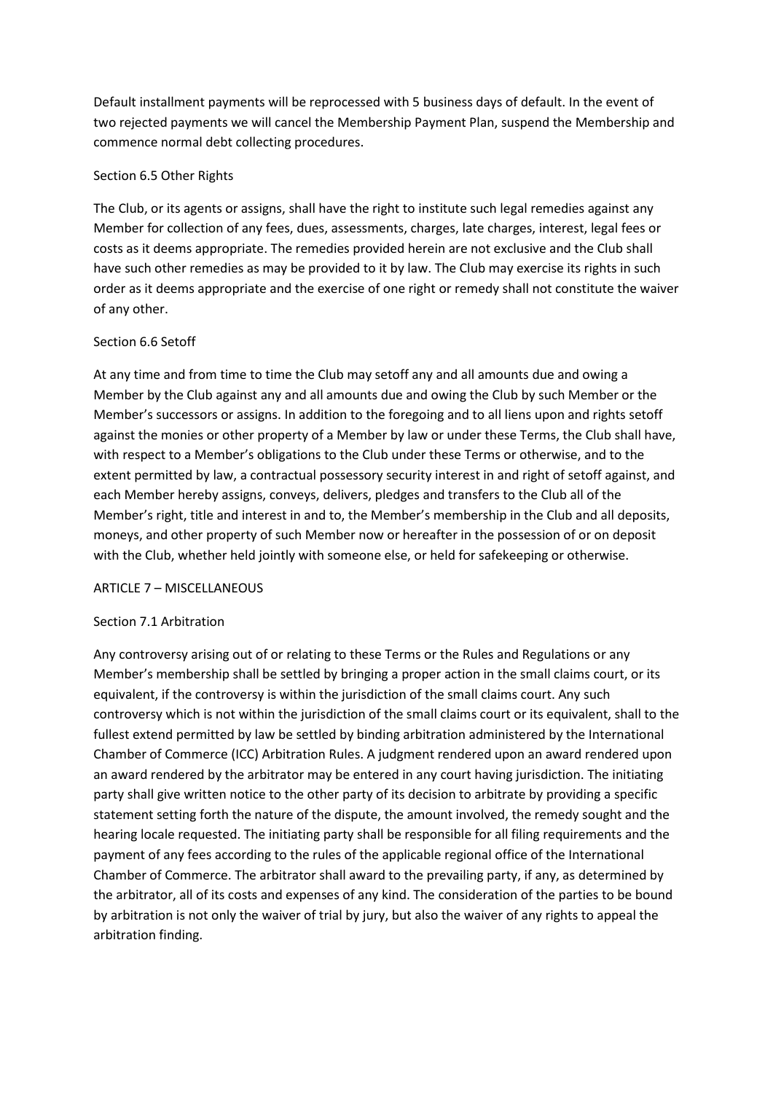Default installment payments will be reprocessed with 5 business days of default. In the event of two rejected payments we will cancel the Membership Payment Plan, suspend the Membership and commence normal debt collecting procedures.

# Section 6.5 Other Rights

The Club, or its agents or assigns, shall have the right to institute such legal remedies against any Member for collection of any fees, dues, assessments, charges, late charges, interest, legal fees or costs as it deems appropriate. The remedies provided herein are not exclusive and the Club shall have such other remedies as may be provided to it by law. The Club may exercise its rights in such order as it deems appropriate and the exercise of one right or remedy shall not constitute the waiver of any other.

# Section 6.6 Setoff

At any time and from time to time the Club may setoff any and all amounts due and owing a Member by the Club against any and all amounts due and owing the Club by such Member or the Member's successors or assigns. In addition to the foregoing and to all liens upon and rights setoff against the monies or other property of a Member by law or under these Terms, the Club shall have, with respect to a Member's obligations to the Club under these Terms or otherwise, and to the extent permitted by law, a contractual possessory security interest in and right of setoff against, and each Member hereby assigns, conveys, delivers, pledges and transfers to the Club all of the Member's right, title and interest in and to, the Member's membership in the Club and all deposits, moneys, and other property of such Member now or hereafter in the possession of or on deposit with the Club, whether held jointly with someone else, or held for safekeeping or otherwise.

# ARTICLE 7 – MISCELLANEOUS

# Section 7.1 Arbitration

Any controversy arising out of or relating to these Terms or the Rules and Regulations or any Member's membership shall be settled by bringing a proper action in the small claims court, or its equivalent, if the controversy is within the jurisdiction of the small claims court. Any such controversy which is not within the jurisdiction of the small claims court or its equivalent, shall to the fullest extend permitted by law be settled by binding arbitration administered by the International Chamber of Commerce (ICC) Arbitration Rules. A judgment rendered upon an award rendered upon an award rendered by the arbitrator may be entered in any court having jurisdiction. The initiating party shall give written notice to the other party of its decision to arbitrate by providing a specific statement setting forth the nature of the dispute, the amount involved, the remedy sought and the hearing locale requested. The initiating party shall be responsible for all filing requirements and the payment of any fees according to the rules of the applicable regional office of the International Chamber of Commerce. The arbitrator shall award to the prevailing party, if any, as determined by the arbitrator, all of its costs and expenses of any kind. The consideration of the parties to be bound by arbitration is not only the waiver of trial by jury, but also the waiver of any rights to appeal the arbitration finding.